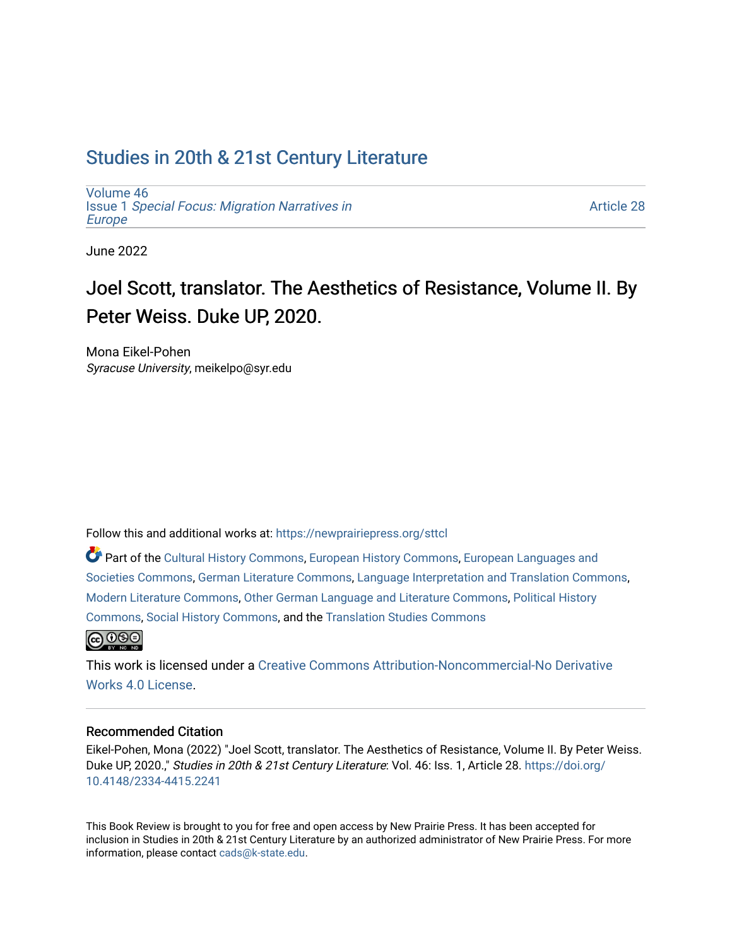## [Studies in 20th & 21st Century Literature](https://newprairiepress.org/sttcl)

[Volume 46](https://newprairiepress.org/sttcl/vol46) Issue 1 [Special Focus: Migration Narratives in](https://newprairiepress.org/sttcl/vol46/iss1) [Europe](https://newprairiepress.org/sttcl/vol46/iss1)

[Article 28](https://newprairiepress.org/sttcl/vol46/iss1/28) 

June 2022

# Joel Scott, translator. The Aesthetics of Resistance, Volume II. By Peter Weiss. Duke UP, 2020.

Mona Eikel-Pohen Syracuse University, meikelpo@syr.edu

Follow this and additional works at: [https://newprairiepress.org/sttcl](https://newprairiepress.org/sttcl?utm_source=newprairiepress.org%2Fsttcl%2Fvol46%2Fiss1%2F28&utm_medium=PDF&utm_campaign=PDFCoverPages) 

Part of the [Cultural History Commons](https://network.bepress.com/hgg/discipline/496?utm_source=newprairiepress.org%2Fsttcl%2Fvol46%2Fiss1%2F28&utm_medium=PDF&utm_campaign=PDFCoverPages), [European History Commons,](https://network.bepress.com/hgg/discipline/492?utm_source=newprairiepress.org%2Fsttcl%2Fvol46%2Fiss1%2F28&utm_medium=PDF&utm_campaign=PDFCoverPages) [European Languages and](https://network.bepress.com/hgg/discipline/482?utm_source=newprairiepress.org%2Fsttcl%2Fvol46%2Fiss1%2F28&utm_medium=PDF&utm_campaign=PDFCoverPages)  [Societies Commons](https://network.bepress.com/hgg/discipline/482?utm_source=newprairiepress.org%2Fsttcl%2Fvol46%2Fiss1%2F28&utm_medium=PDF&utm_campaign=PDFCoverPages), [German Literature Commons](https://network.bepress.com/hgg/discipline/469?utm_source=newprairiepress.org%2Fsttcl%2Fvol46%2Fiss1%2F28&utm_medium=PDF&utm_campaign=PDFCoverPages), [Language Interpretation and Translation Commons,](https://network.bepress.com/hgg/discipline/1391?utm_source=newprairiepress.org%2Fsttcl%2Fvol46%2Fiss1%2F28&utm_medium=PDF&utm_campaign=PDFCoverPages) [Modern Literature Commons,](https://network.bepress.com/hgg/discipline/1050?utm_source=newprairiepress.org%2Fsttcl%2Fvol46%2Fiss1%2F28&utm_medium=PDF&utm_campaign=PDFCoverPages) [Other German Language and Literature Commons,](https://network.bepress.com/hgg/discipline/470?utm_source=newprairiepress.org%2Fsttcl%2Fvol46%2Fiss1%2F28&utm_medium=PDF&utm_campaign=PDFCoverPages) [Political History](https://network.bepress.com/hgg/discipline/505?utm_source=newprairiepress.org%2Fsttcl%2Fvol46%2Fiss1%2F28&utm_medium=PDF&utm_campaign=PDFCoverPages) [Commons](https://network.bepress.com/hgg/discipline/505?utm_source=newprairiepress.org%2Fsttcl%2Fvol46%2Fiss1%2F28&utm_medium=PDF&utm_campaign=PDFCoverPages), [Social History Commons,](https://network.bepress.com/hgg/discipline/506?utm_source=newprairiepress.org%2Fsttcl%2Fvol46%2Fiss1%2F28&utm_medium=PDF&utm_campaign=PDFCoverPages) and the [Translation Studies Commons](https://network.bepress.com/hgg/discipline/1312?utm_source=newprairiepress.org%2Fsttcl%2Fvol46%2Fiss1%2F28&utm_medium=PDF&utm_campaign=PDFCoverPages) 



This work is licensed under a [Creative Commons Attribution-Noncommercial-No Derivative](https://creativecommons.org/licenses/by-nc-nd/4.0/)  [Works 4.0 License](https://creativecommons.org/licenses/by-nc-nd/4.0/).

#### Recommended Citation

Eikel-Pohen, Mona (2022) "Joel Scott, translator. The Aesthetics of Resistance, Volume II. By Peter Weiss. Duke UP, 2020.," Studies in 20th & 21st Century Literature: Vol. 46: Iss. 1, Article 28. [https://doi.org/](https://doi.org/10.4148/2334-4415.2241) [10.4148/2334-4415.2241](https://doi.org/10.4148/2334-4415.2241)

This Book Review is brought to you for free and open access by New Prairie Press. It has been accepted for inclusion in Studies in 20th & 21st Century Literature by an authorized administrator of New Prairie Press. For more information, please contact [cads@k-state.edu](mailto:cads@k-state.edu).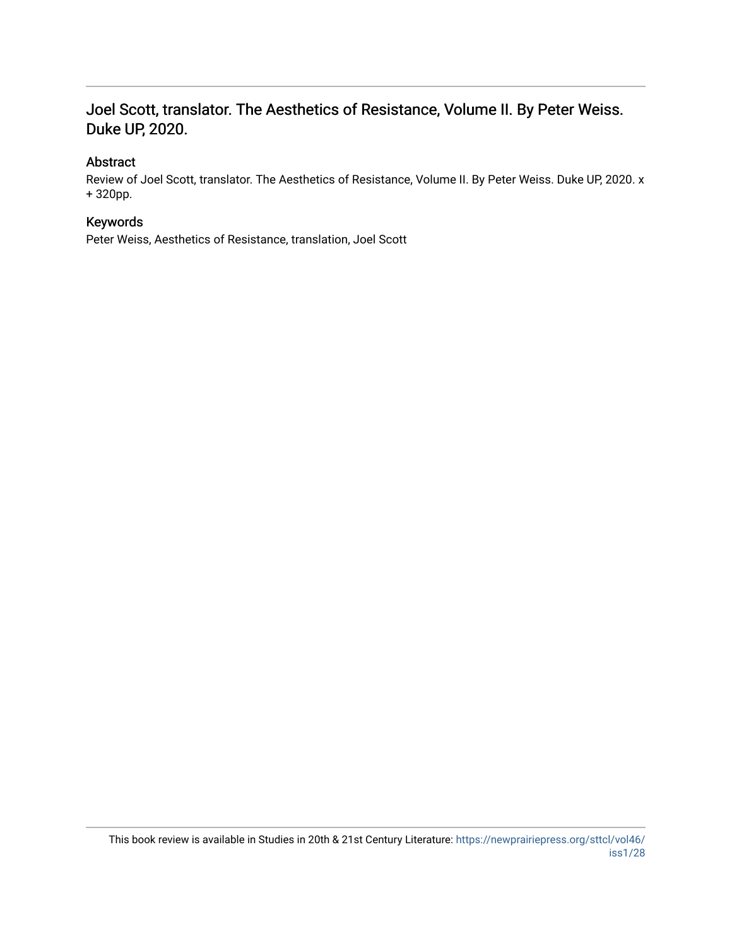### Joel Scott, translator. The Aesthetics of Resistance, Volume II. By Peter Weiss. Duke UP, 2020.

### Abstract

Review of Joel Scott, translator. The Aesthetics of Resistance, Volume II. By Peter Weiss. Duke UP, 2020. x + 320pp.

### Keywords

Peter Weiss, Aesthetics of Resistance, translation, Joel Scott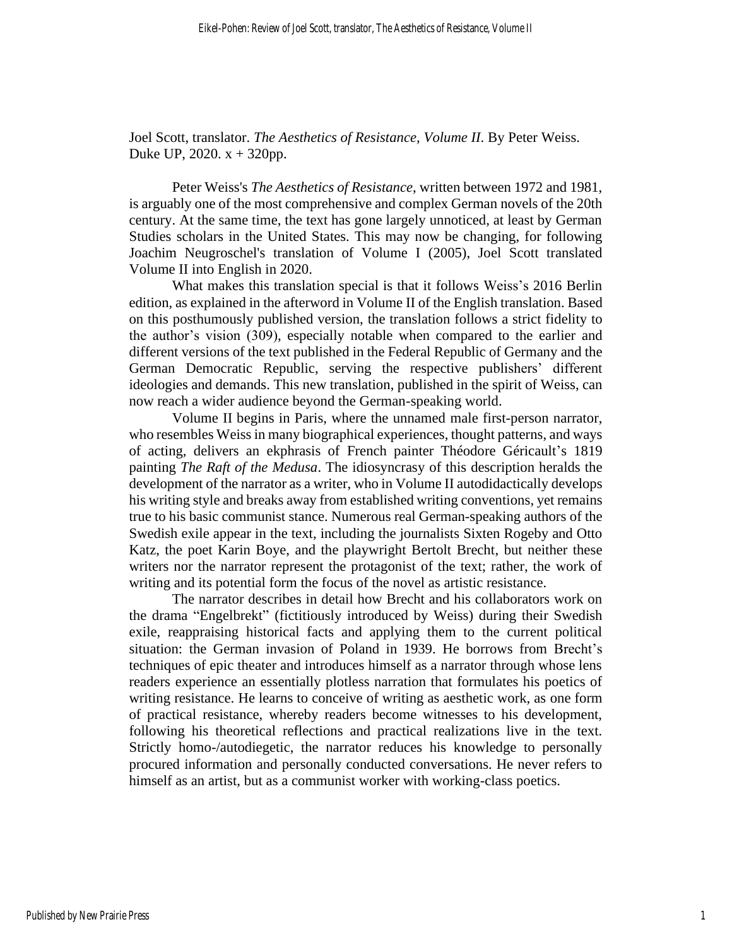Joel Scott, translator. *The Aesthetics of Resistance, Volume II*. By Peter Weiss. Duke UP, 2020.  $x + 320$ pp.

Peter Weiss's *The Aesthetics of Resistance*, written between 1972 and 1981, is arguably one of the most comprehensive and complex German novels of the 20th century. At the same time, the text has gone largely unnoticed, at least by German Studies scholars in the United States. This may now be changing, for following Joachim Neugroschel's translation of Volume I (2005), Joel Scott translated Volume II into English in 2020.

What makes this translation special is that it follows Weiss's 2016 Berlin edition, as explained in the afterword in Volume II of the English translation. Based on this posthumously published version, the translation follows a strict fidelity to the author's vision (309), especially notable when compared to the earlier and different versions of the text published in the Federal Republic of Germany and the German Democratic Republic, serving the respective publishers' different ideologies and demands. This new translation, published in the spirit of Weiss, can now reach a wider audience beyond the German-speaking world.

Volume II begins in Paris, where the unnamed male first-person narrator, who resembles Weiss in many biographical experiences, thought patterns, and ways of acting, delivers an ekphrasis of French painter Théodore Géricault's 1819 painting *The Raft of the Medusa*. The idiosyncrasy of this description heralds the development of the narrator as a writer, who in Volume II autodidactically develops his writing style and breaks away from established writing conventions, yet remains true to his basic communist stance. Numerous real German-speaking authors of the Swedish exile appear in the text, including the journalists Sixten Rogeby and Otto Katz, the poet Karin Boye, and the playwright Bertolt Brecht, but neither these writers nor the narrator represent the protagonist of the text; rather, the work of writing and its potential form the focus of the novel as artistic resistance.

The narrator describes in detail how Brecht and his collaborators work on the drama "Engelbrekt" (fictitiously introduced by Weiss) during their Swedish exile, reappraising historical facts and applying them to the current political situation: the German invasion of Poland in 1939. He borrows from Brecht's techniques of epic theater and introduces himself as a narrator through whose lens readers experience an essentially plotless narration that formulates his poetics of writing resistance. He learns to conceive of writing as aesthetic work, as one form of practical resistance, whereby readers become witnesses to his development, following his theoretical reflections and practical realizations live in the text. Strictly homo-/autodiegetic, the narrator reduces his knowledge to personally procured information and personally conducted conversations. He never refers to himself as an artist, but as a communist worker with working-class poetics.